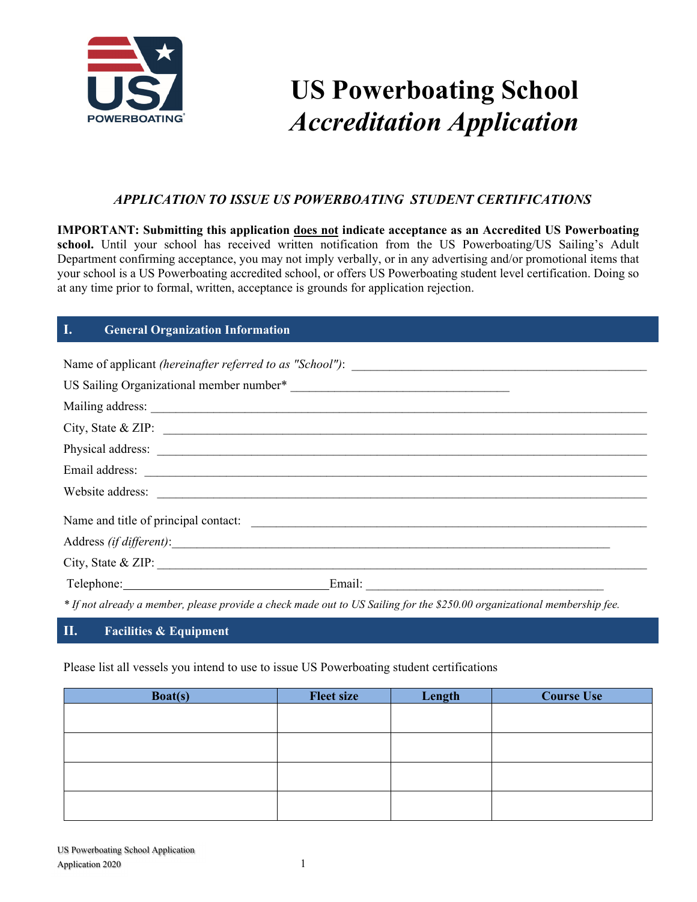

# **US Powerboating School**  *Accreditation Application*

# *APPLICATION TO ISSUE US POWERBOATING STUDENT CERTIFICATIONS*

**IMPORTANT: Submitting this application does not indicate acceptance as an Accredited US Powerboating**  school. Until your school has received written notification from the US Powerboating/US Sailing's Adult Department confirming acceptance, you may not imply verbally, or in any advertising and/or promotional items that your school is a US Powerboating accredited school, or offers US Powerboating student level certification. Doing so at any time prior to formal, written, acceptance is grounds for application rejection.

# **I. General Organization Information**

| City, State & ZIP: $\overline{\phantom{a}}$                                                                              |
|--------------------------------------------------------------------------------------------------------------------------|
|                                                                                                                          |
|                                                                                                                          |
|                                                                                                                          |
|                                                                                                                          |
|                                                                                                                          |
| City, State & ZIP:                                                                                                       |
| Telephone: Email: Email:                                                                                                 |
| * If not already a member, please provide a check made out to US Sailing for the \$250.00 organizational membership fee. |

#### **II. Facilities & Equipment**

Please list all vessels you intend to use to issue US Powerboating student certifications

| <b>Boat(s)</b> | <b>Fleet size</b> | Length | <b>Course Use</b> |
|----------------|-------------------|--------|-------------------|
|                |                   |        |                   |
|                |                   |        |                   |
|                |                   |        |                   |
|                |                   |        |                   |
|                |                   |        |                   |
|                |                   |        |                   |
|                |                   |        |                   |
|                |                   |        |                   |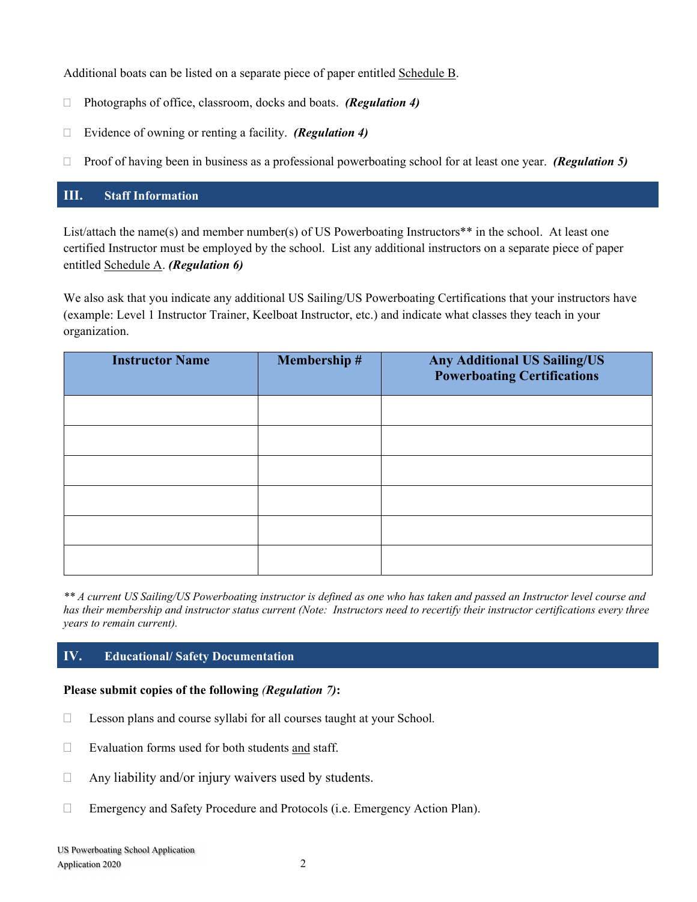Additional boats can be listed on a separate piece of paper entitled Schedule B.

- Photographs of office, classroom, docks and boats.*(Regulation 4)*
- Evidence of owning or renting a facility. *(Regulation 4)*
- Proof of having been in business as a professional powerboating school for at least one year. *(Regulation 5)*

## **III. Staff Information**

List/attach the name(s) and member number(s) of US Powerboating Instructors\*\* in the school. At least one certified Instructor must be employed by the school. List any additional instructors on a separate piece of paper entitled Schedule A. *(Regulation 6)*

We also ask that you indicate any additional US Sailing/US Powerboating Certifications that your instructors have (example: Level 1 Instructor Trainer, Keelboat Instructor, etc.) and indicate what classes they teach in your organization.

| <b>Instructor Name</b> | <b>Membership#</b> | <b>Any Additional US Sailing/US</b><br><b>Powerboating Certifications</b> |
|------------------------|--------------------|---------------------------------------------------------------------------|
|                        |                    |                                                                           |
|                        |                    |                                                                           |
|                        |                    |                                                                           |
|                        |                    |                                                                           |
|                        |                    |                                                                           |
|                        |                    |                                                                           |

*\*\* A current US Sailing/US Powerboating instructor is defined as one who has taken and passed an Instructor level course and has their membership and instructor status current (Note: Instructors need to recertify their instructor certifications every three years to remain current).* 

#### **IV. Educational/ Safety Documentation**

#### **Please submit copies of the following** *(Regulation 7)***:**

- Lesson plans and course syllabi for all courses taught at your School*.*
- $\Box$  Evaluation forms used for both students and staff.
- $\Box$  Any liability and/or injury waivers used by students.
- Emergency and Safety Procedure and Protocols (i.e. Emergency Action Plan).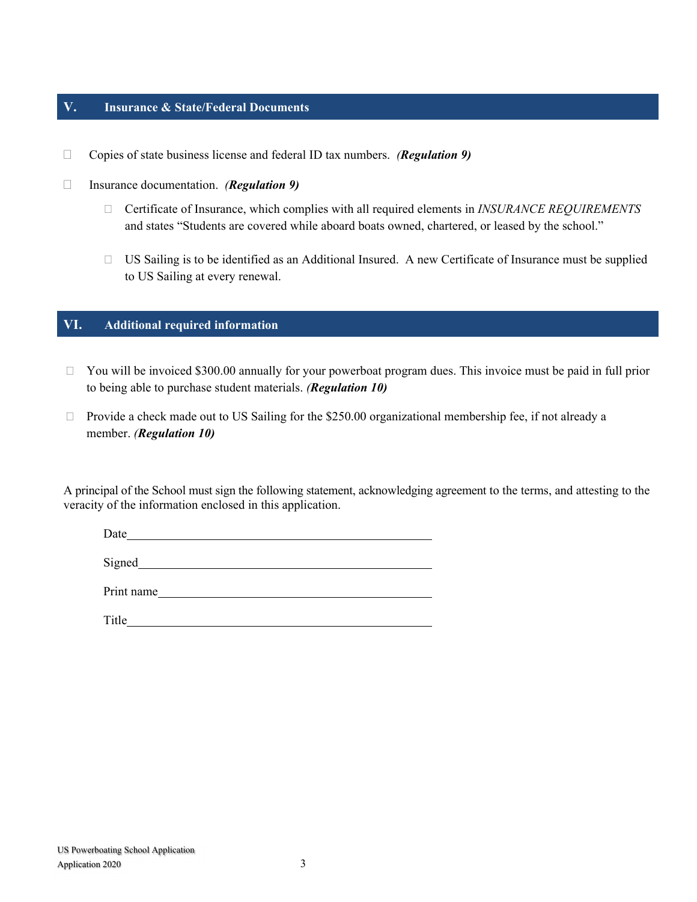## **V. Insurance & State/Federal Documents**

- Copies of state business license and federal ID tax numbers. *(Regulation 9)*
- Insurance documentation. *(Regulation 9)*
	- Certificate of Insurance, which complies with all required elements in *INSURANCE REQUIREMENTS* and states "Students are covered while aboard boats owned, chartered, or leased by the school."
	- US Sailing is to be identified as an Additional Insured. A new Certificate of Insurance must be supplied to US Sailing at every renewal.

### **VI. Additional required information**

- □ You will be invoiced \$300.00 annually for your powerboat program dues. This invoice must be paid in full prior to being able to purchase student materials. *(Regulation 10)*
- $\Box$  Provide a check made out to US Sailing for the \$250.00 organizational membership fee, if not already a member. *(Regulation 10)*

A principal of the School must sign the following statement, acknowledging agreement to the terms, and attesting to the veracity of the information enclosed in this application.

Date and the set of the set of the set of the set of the set of the set of the set of the set of the set of the set of the set of the set of the set of the set of the set of the set of the set of the set of the set of the

Signed<br>
Signed<br>
Signed<br>
Signed<br>
Signed<br>
Signed<br>
Signed<br>
Signed<br>
Signed<br>
Signed<br>
Signed<br>
Signed<br>
Signed<br>
Signed<br>
Signed<br>
Signed<br>
Signed<br>
Signed<br>
Signed<br>
Signed<br>
Signed<br>
Signed<br>
Signed<br>
Signed<br>
Signed<br>
Signed<br>
Signed<br>
Signed

Print name

Title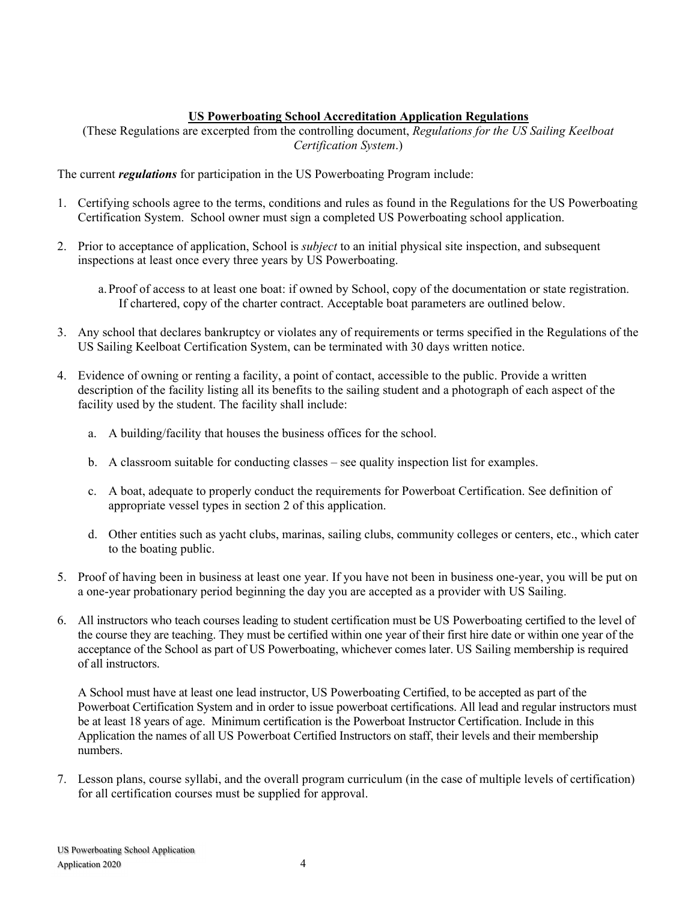## **US Powerboating School Accreditation Application Regulations**

(These Regulations are excerpted from the controlling document, *Regulations for the US Sailing Keelboat Certification System*.)

The current *regulations* for participation in the US Powerboating Program include:

- 1. Certifying schools agree to the terms, conditions and rules as found in the Regulations for the US Powerboating Certification System. School owner must sign a completed US Powerboating school application.
- 2. Prior to acceptance of application, School is *subject* to an initial physical site inspection, and subsequent inspections at least once every three years by US Powerboating.
	- a.Proof of access to at least one boat: if owned by School, copy of the documentation or state registration. If chartered, copy of the charter contract. Acceptable boat parameters are outlined below.
- 3. Any school that declares bankruptcy or violates any of requirements or terms specified in the Regulations of the US Sailing Keelboat Certification System, can be terminated with 30 days written notice.
- 4. Evidence of owning or renting a facility, a point of contact, accessible to the public. Provide a written description of the facility listing all its benefits to the sailing student and a photograph of each aspect of the facility used by the student. The facility shall include:
	- a. A building/facility that houses the business offices for the school.
	- b. A classroom suitable for conducting classes see quality inspection list for examples.
	- c. A boat, adequate to properly conduct the requirements for Powerboat Certification. See definition of appropriate vessel types in section 2 of this application.
	- d. Other entities such as yacht clubs, marinas, sailing clubs, community colleges or centers, etc., which cater to the boating public.
- 5. Proof of having been in business at least one year. If you have not been in business one-year, you will be put on a one-year probationary period beginning the day you are accepted as a provider with US Sailing.
- 6. All instructors who teach courses leading to student certification must be US Powerboating certified to the level of the course they are teaching. They must be certified within one year of their first hire date or within one year of the acceptance of the School as part of US Powerboating, whichever comes later. US Sailing membership is required of all instructors.

A School must have at least one lead instructor, US Powerboating Certified, to be accepted as part of the Powerboat Certification System and in order to issue powerboat certifications. All lead and regular instructors must be at least 18 years of age. Minimum certification is the Powerboat Instructor Certification. Include in this Application the names of all US Powerboat Certified Instructors on staff, their levels and their membership numbers.

7. Lesson plans, course syllabi, and the overall program curriculum (in the case of multiple levels of certification) for all certification courses must be supplied for approval.